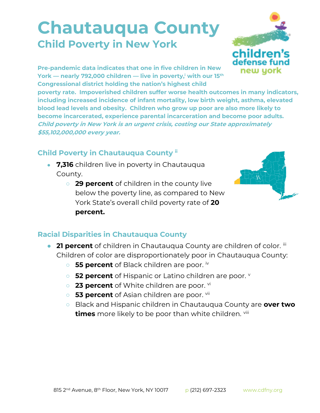## **Chautauqua County Child Poverty in New York**



**Pre-pandemic data indicates that one in five children in New York — nearly 792,000 children — live in poverty,<sup>i</sup> with our 15th Congressional district holding the nation's highest child** 

**poverty rate. Impoverished children suffer worse health outcomes in many indicators, including increased incidence of infant mortality, low birth weight, asthma, elevated blood lead levels and obesity. Children who grow up poor are also more likely to become incarcerated, experience parental incarceration and become poor adults. Child poverty in New York is an urgent crisis, costing our State approximately \$55,102,000,000 every year.**

## **Child Poverty in Chautauqua County ii**

- **7,316** children live in poverty in Chautauqua County.
	- **29 percent** of children in the county live below the poverty line, as compared to New York State's overall child poverty rate of **20 percent.**



## **Racial Disparities in Chautauqua County**

- **21 percent** of children in Chautauqua County are children of color. iii Children of color are disproportionately poor in Chautauqua County:
	- **55 percent** of Black children are poor.  $\alpha$
	- **52 percent** of Hispanic or Latino children are poor. **v**
	- 23 percent of White children are poor. <sup>vi</sup>
	- **53 percent** of Asian children are poor. vii
	- Black and Hispanic children in Chautauqua County are **over two times** more likely to be poor than white children. viii